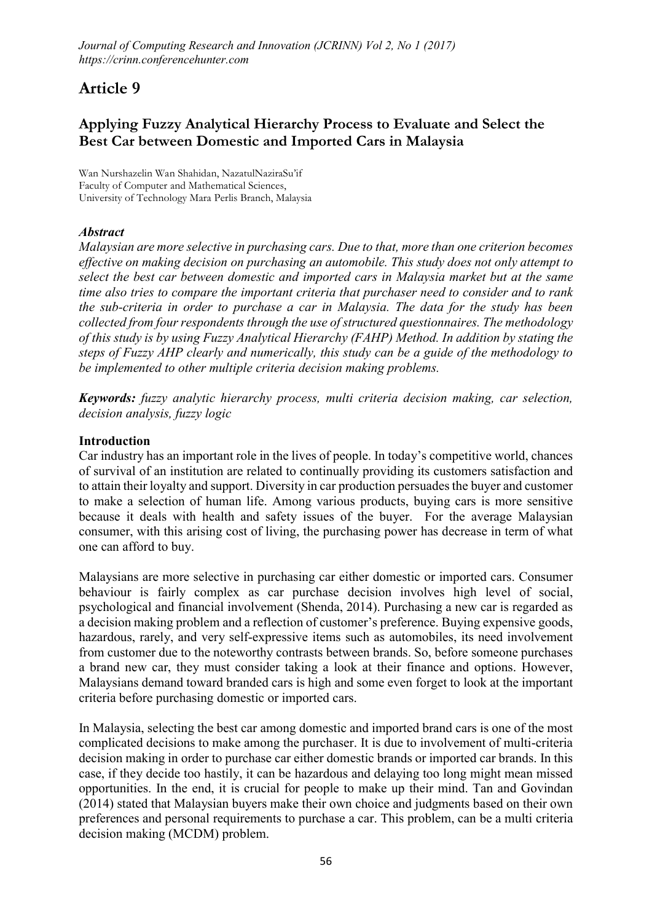# Article 9

## Applying Fuzzy Analytical Hierarchy Process to Evaluate and Select the Best Car between Domestic and Imported Cars in Malaysia

**Wan Nurshazelin Wan Shahidan, NazatulNaziraSu'if Faculty of Computer and Mathematical Sciences, University of Technology Mara Perlis Branch, Malaysia**

## *Abstract*

*Malaysian are more selective in purchasing cars. Due to that, more than one criterion becomes effective on making decision on purchasing an automobile. This study does not only attempt to select the best car between domestic and imported cars in Malaysia market but at the same time also tries to compare the important criteria that purchaser need to consider and to rank the sub-criteria in order to purchase a car in Malaysia. The data for the study has been collected from four respondents through the use of structured questionnaires. The methodology of this study is by using Fuzzy Analytical Hierarchy (FAHP) Method. In addition by stating the steps of Fuzzy AHP clearly and numerically, this study can be a guide of the methodology to be implemented to other multiple criteria decision making problems.*

*Keywords: fuzzy analytic hierarchy process, multi criteria decision making, car selection, decision analysis, fuzzy logic*

## Introduction

Car industry has an important role in the lives of people. In today's competitive world, chances of survival of an institution are related to continually providing its customers satisfaction and to attain their loyalty and support. Diversity in car production persuades the buyer and customer to make a selection of human life. Among various products, buying cars is more sensitive because it deals with health and safety issues of the buyer. For the average Malaysian consumer, with this arising cost of living, the purchasing power has decrease in term of what one can afford to buy.

Malaysians are more selective in purchasing car either domestic or imported cars. Consumer behaviour is fairly complex as car purchase decision involves high level of social, psychological and financial involvement (Shenda, 2014). Purchasing a new car is regarded as a decision making problem and a reflection of customer's preference. Buying expensive goods, hazardous, rarely, and very self-expressive items such as automobiles, its need involvement from customer due to the noteworthy contrasts between brands. So, before someone purchases a brand new car, they must consider taking a look at their finance and options. However, Malaysians demand toward branded cars is high and some even forget to look at the important criteria before purchasing domestic or imported cars.

In Malaysia, selecting the best car among domestic and imported brand cars is one of the most complicated decisions to make among the purchaser. It is due to involvement of multi-criteria decision making in order to purchase car either domestic brands or imported car brands. In this case, if they decide too hastily, it can be hazardous and delaying too long might mean missed opportunities. In the end, it is crucial for people to make up their mind. Tan and Govindan (2014) stated that Malaysian buyers make their own choice and judgments based on their own preferences and personal requirements to purchase a car. This problem, can be a multi criteria decision making (MCDM) problem.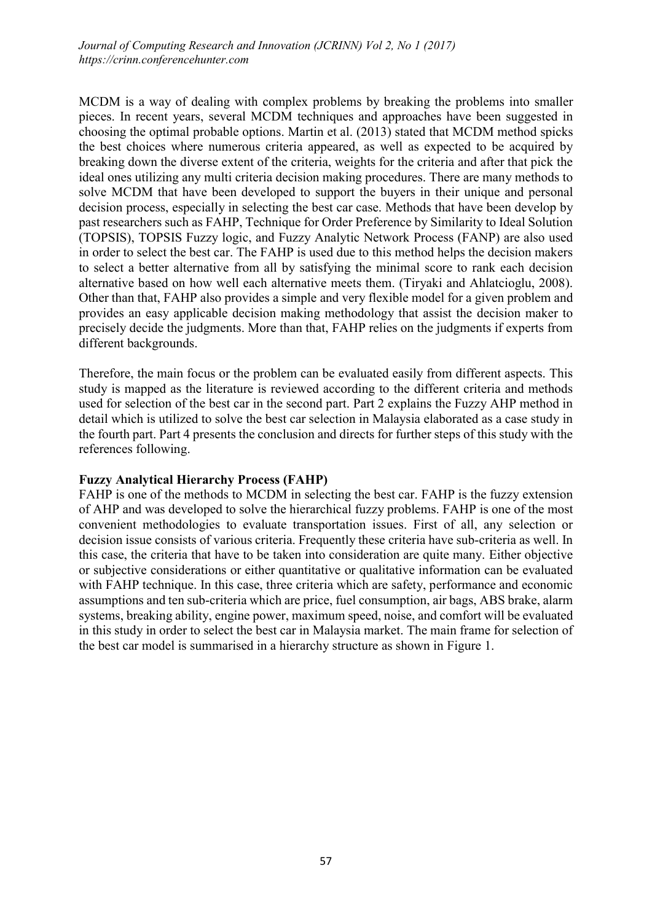MCDM is a way of dealing with complex problems by breaking the problems into smaller pieces. In recent years, several MCDM techniques and approaches have been suggested in choosing the optimal probable options. Martin et al. (2013) stated that MCDM method spicks the best choices where numerous criteria appeared, as well as expected to be acquired by breaking down the diverse extent of the criteria, weights for the criteria and after that pick the ideal ones utilizing any multi criteria decision making procedures. There are many methods to solve MCDM that have been developed to support the buyers in their unique and personal decision process, especially in selecting the best car case. Methods that have been develop by past researchers such as FAHP, Technique for Order Preference by Similarity to Ideal Solution (TOPSIS), TOPSIS Fuzzy logic, and Fuzzy Analytic Network Process (FANP) are also used in order to select the best car. The FAHP is used due to this method helps the decision makers to select a better alternative from all by satisfying the minimal score to rank each decision alternative based on how well each alternative meets them. (Tiryaki and Ahlatcioglu, 2008). Other than that, FAHP also provides a simple and very flexible model for a given problem and provides an easy applicable decision making methodology that assist the decision maker to precisely decide the judgments. More than that, FAHP relies on the judgments if experts from different backgrounds.

Therefore, the main focus or the problem can be evaluated easily from different aspects. This study is mapped as the literature is reviewed according to the different criteria and methods used for selection of the best car in the second part. Part 2 explains the Fuzzy AHP method in detail which is utilized to solve the best car selection in Malaysia elaborated as a case study in the fourth part. Part 4 presents the conclusion and directs for further steps of this study with the references following.

## Fuzzy Analytical Hierarchy Process (FAHP)

FAHP is one of the methods to MCDM in selecting the best car. FAHP is the fuzzy extension of AHP and was developed to solve the hierarchical fuzzy problems. FAHP is one of the most convenient methodologies to evaluate transportation issues. First of all, any selection or decision issue consists of various criteria. Frequently these criteria have sub-criteria as well. In this case, the criteria that have to be taken into consideration are quite many. Either objective or subjective considerations or either quantitative or qualitative information can be evaluated with FAHP technique. In this case, three criteria which are safety, performance and economic assumptions and ten sub-criteria which are price, fuel consumption, air bags, ABS brake, alarm systems, breaking ability, engine power, maximum speed, noise, and comfort will be evaluated in this study in order to select the best car in Malaysia market. The main frame for selection of the best car model is summarised in a hierarchy structure as shown in Figure 1.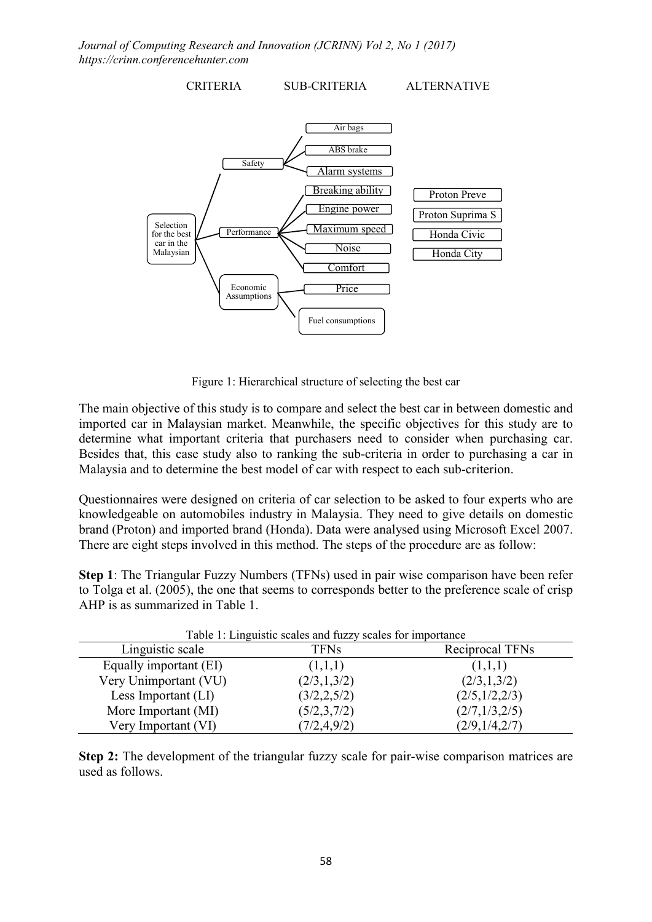

Figure 1: Hierarchical structure of selecting the best car

The main objective of this study is to compare and select the best car in between domestic and imported car in Malaysian market. Meanwhile, the specific objectives for this study are to determine what important criteria that purchasers need to consider when purchasing car. Besides that, this case study also to ranking the sub-criteria in order to purchasing a car in Malaysia and to determine the best model of car with respect to each sub-criterion.

Questionnaires were designed on criteria of car selection to be asked to four experts who are knowledgeable on automobiles industry in Malaysia. They need to give details on domestic brand (Proton) and imported brand (Honda). Data were analysed using Microsoft Excel 2007. There are eight steps involved in this method. The steps of the procedure are as follow:

Step 1: The Triangular Fuzzy Numbers (TFNs) used in pair wise comparison have been refer to Tolga et al. (2005), the one that seems to corresponds better to the preference scale of crisp AHP is as summarized in Table 1.

| Table 1: Linguistic scales and fuzzy scales for importance |               |                 |  |  |
|------------------------------------------------------------|---------------|-----------------|--|--|
| Linguistic scale                                           | <b>TFNs</b>   | Reciprocal TFNs |  |  |
| Equally important (EI)                                     | (1,1,1)       | (1,1,1)         |  |  |
| Very Unimportant (VU)                                      | (2/3,1,3/2)   | (2/3,1,3/2)     |  |  |
| Less Important (LI)                                        | (3/2, 2, 5/2) | (2/5, 1/2, 2/3) |  |  |
| More Important (MI)                                        | (5/2,3,7/2)   | (2/7, 1/3, 2/5) |  |  |
| Very Important (VI)                                        | (7/2, 4, 9/2) | (2/9, 1/4, 2/7) |  |  |

Step 2: The development of the triangular fuzzy scale for pair-wise comparison matrices are used as follows.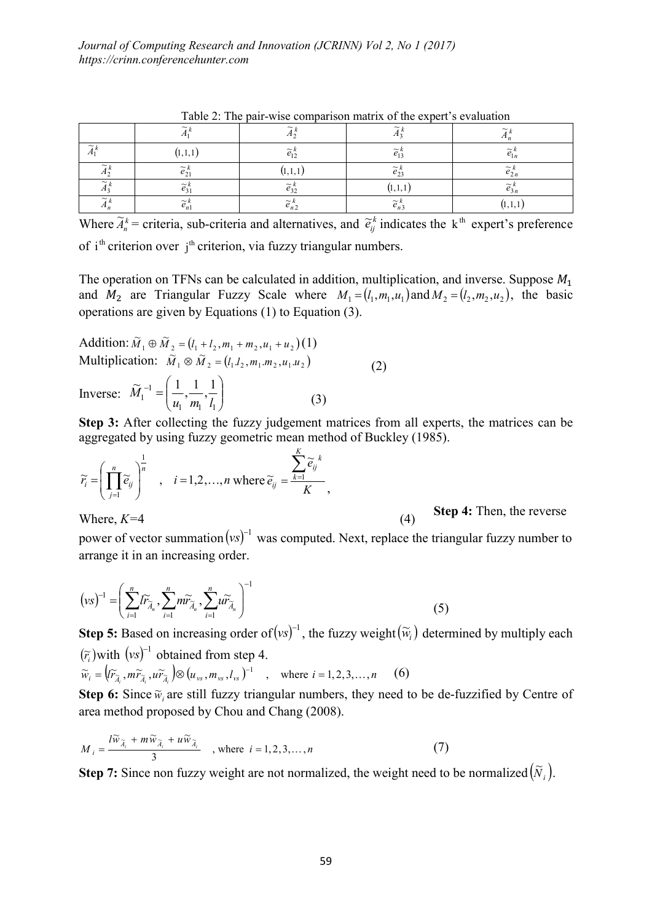| TWOTA WAS DATE AND ACTIVITIONS THROUGH THE CHAIR AND ALL AND A LARGE AND A LARGE |                                      |                           |                                      |                                    |
|----------------------------------------------------------------------------------|--------------------------------------|---------------------------|--------------------------------------|------------------------------------|
|                                                                                  | $\sim$                               | $\widetilde{\phantom{m}}$ | $\widetilde{\phantom{m}}$            | $\sim$                             |
| $\sim$                                                                           | (1, 1, 1)                            | $\sim$<br>$e_{12}$        | $\sim$ $\prime$<br>$e_1$             | $\sim$<br>$e_{1n}$                 |
| $\sim$<br>A <sub>2</sub>                                                         | $\widetilde{\phantom{m}}$<br>$e_{2}$ | (1, 1, 1                  | $\widetilde{\phantom{m}}$<br>$e_{2}$ | $\widetilde{\phantom{m}}$<br>' 2 n |
| $\sim$                                                                           | $\sim\mu$<br>$e_3$                   | $\sim$<br>e32             | 11,1,1                               | $\widetilde{\phantom{m}}$          |
| $\sim$                                                                           | $\sim k$<br>$e_{n}$                  | $\sim$<br>$\epsilon_{n2}$ | $\sim$<br>$e_{n}$                    | , , , , , , ,                      |

Table 2: The pair-wise comparison matrix of the expert's evaluation

Where  $\widetilde{A}_n^k$  = criteria, sub-criteria and alternatives, and  $\widetilde{e}_j^k$  indicates the k<sup>th</sup> expert's preference

of  $i<sup>th</sup>$  criterion over  $i<sup>th</sup>$  criterion, via fuzzy triangular numbers.

The operation on TFNs can be calculated in addition, multiplication, and inverse. Suppose  $M_1$ and  $M_2$  are Triangular Fuzzy Scale where  $M_1 = (l_1, m_1, u_1)$  and  $M_2 = (l_2, m_2, u_2)$ , the basic operations are given by Equations (1) to Equation (3).

Addition:  $\widetilde{M}_1 \oplus \widetilde{M}_2 = (l_1 + l_2, m_1 + m_2, u_1 + u_2)(1)$ Multiplication:  $\tilde{M}_1 \otimes \tilde{M}_2 = (l_1 l_2, m_1 m_2, u_1 u_2)$  (2)

Inverse:  $\hat{M}_1^{-1} = \left| \frac{1}{u_1} \cdot \frac{1}{m_1} \cdot \frac{1}{l_1} \right|$  $\bigg)$  $\setminus$  $\overline{\phantom{a}}$  $\overline{\phantom{0}}$  $^{-1}$  =  $n_1$   $n_1$   $n_1$ 1 1  $\widetilde{M}_1^{-1} = \left( \frac{1}{1}, \frac{1}{1} \right)$  $M_1^{-1} = \left(\frac{1}{u_1}, \frac{1}{m_1}, \frac{1}{l_1}\right)$  (3)

Step 3: After collecting the fuzzy judgement matrices from all experts, the matrices can be aggregated by using fuzzy geometric mean method of Buckley (1985).

$$
\widetilde{r}_i = \left(\prod_{j=1}^n \widetilde{e}_{ij}\right)^{\frac{1}{n}}, \quad i = 1, 2, ..., n \text{ where } \widetilde{e}_{ij} = \frac{\sum_{k=1}^K \widetilde{e}_{ij}^k}{K},
$$

Where,  $K=4$  (4) Step 4: Then, the reverse

power of vector summation  $(vs)^{-1}$  was computed. Next, replace the triangular fuzzy number to arrange it in an increasing order.

$$
(\nu s)^{-1} = \left(\sum_{i=1}^{n} I \widetilde{r}_{\widetilde{A}_n}, \sum_{i=1}^{n} m \widetilde{r}_{\widetilde{A}_n}, \sum_{i=1}^{n} u \widetilde{r}_{\widetilde{A}_n}\right)^{-1}
$$
(5)

**Step 5:** Based on increasing order of  $(vs)^{-1}$ , the fuzzy weight  $(\widetilde{w}_i)$  determined by multiply each  $(\tilde{r}_i)$  with  $(vs)^{-1}$  obtained from step 4.

$$
\widetilde{w}_i = \left(\widetilde{r}_{\widetilde{A}_i}, m\widetilde{r}_{\widetilde{A}_i}, u\widetilde{r}_{\widetilde{A}_i}\right) \otimes (u_{\nu s}, m_{\nu s}, l_{\nu s})^{-1} \quad , \quad \text{where } i = 1, 2, 3, \dots, n \quad (6)
$$

Step 6: Since  $\widetilde{w}_i$  are still fuzzy triangular numbers, they need to be de-fuzzified by Centre of area method proposed by Chou and Chang (2008).

$$
M_{i} = \frac{l\widetilde{w}_{\widetilde{A}_{i}} + m\widetilde{w}_{\widetilde{A}_{i}} + u\widetilde{w}_{\widetilde{A}_{i}}}{3} \quad , \text{ where } i = 1, 2, 3, ..., n \tag{7}
$$

**Step 7:** Since non fuzzy weight are not normalized, the weight need to be normalized  $(\tilde{N}_i)$ .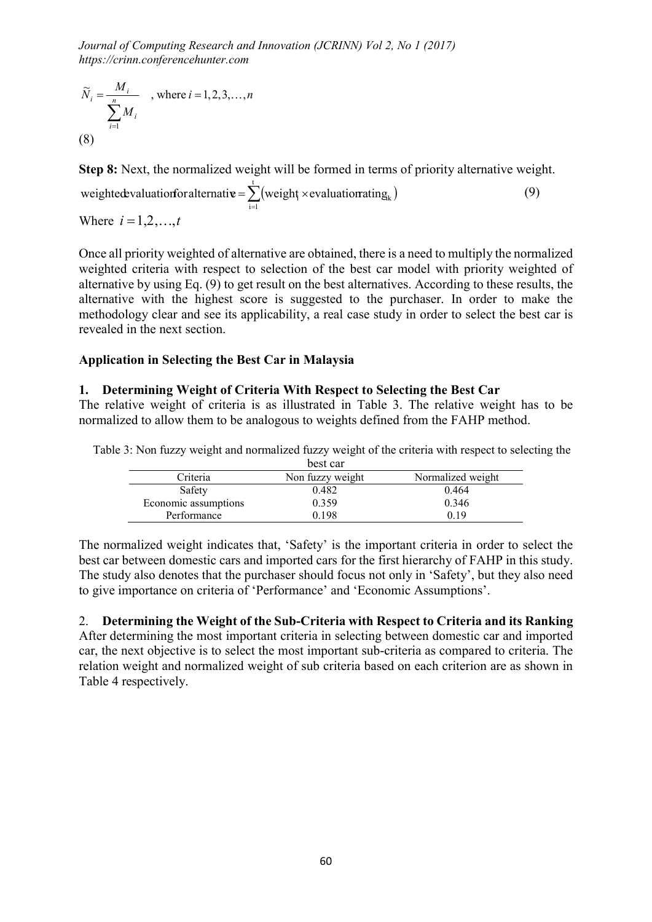$$
\widetilde{N}_i = \frac{M_i}{\sum_{i=1}^n M_i} \quad \text{, where } i = 1, 2, 3, \dots, n
$$
\n(8)

Step 8: Next, the normalized weight will be formed in terms of priority alternative weight.

 $=\sum_{i=1}^{t}$  (weight × evaluation ating  $_{k}$ )  $i = 1$ weightedevaluationfor alternative =  $\sum$  (weight  $\times$  evaluationrating  $_k$ ) (9) Where  $i = 1, 2, ..., t$ 

Once all priority weighted of alternative are obtained, there is a need to multiply the normalized weighted criteria with respect to selection of the best car model with priority weighted of alternative by using Eq. (9) to get result on the best alternatives. According to these results, the alternative with the highest score is suggested to the purchaser. In order to make the methodology clear and see its applicability, a real case study in order to select the best car is revealed in the next section.

## Application in Selecting the Best Car in Malaysia

#### 1. Determining Weight of Criteria With Respect to Selecting the Best Car

The relative weight of criteria is as illustrated in Table 3. The relative weight has to be normalized to allow them to be analogous to weights defined from the FAHP method.

|                      | best car         |                   |
|----------------------|------------------|-------------------|
| Criteria             | Non fuzzy weight | Normalized weight |
| Safety               | 0.482            | 0.464             |
| Economic assumptions | 0.359            | 0.346             |
| Performance          | 0.198            | በ 19              |

Table 3: Non fuzzy weight and normalized fuzzy weight of the criteria with respect to selecting the

The normalized weight indicates that, 'Safety' is the important criteria in order to select the best car between domestic cars and imported cars for the first hierarchy of FAHP in this study. The study also denotes that the purchaser should focus not only in 'Safety', but they also need to give importance on criteria of 'Performance' and 'Economic Assumptions'.

2. Determining the Weight of the Sub-Criteria with Respect to Criteria and its Ranking After determining the most important criteria in selecting between domestic car and imported car, the next objective is to select the most important sub-criteria as compared to criteria. The relation weight and normalized weight of sub criteria based on each criterion are as shown in Table 4 respectively.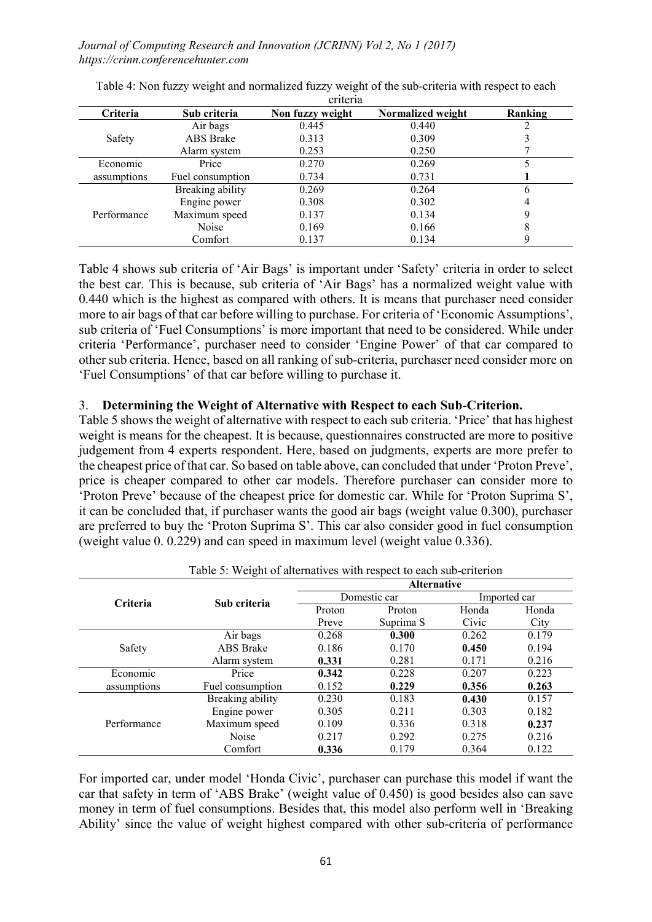|             |                  | 011011a          |                   |         |
|-------------|------------------|------------------|-------------------|---------|
| Criteria    | Sub criteria     | Non fuzzy weight | Normalized weight | Ranking |
|             | Air bags         | 0.445            | 0.440             |         |
| Safety      | ABS Brake        | 0.313            | 0.309             |         |
|             | Alarm system     | 0.253            | 0.250             |         |
| Economic    | Price            | 0.270            | 0.269             |         |
| assumptions | Fuel consumption | 0.734            | 0.731             |         |
|             | Breaking ability | 0.269            | 0.264             | 6       |
|             | Engine power     | 0.308            | 0.302             | 4       |
| Performance | Maximum speed    | 0.137            | 0.134             | 9       |
|             | Noise            | 0.169            | 0.166             | 8       |
|             | Comfort          | 0.137            | 0.134             |         |

Table 4: Non fuzzy weight and normalized fuzzy weight of the sub-criteria with respect to each criteria

Table 4 shows sub criteria of 'Air Bags' is important under 'Safety' criteria in order to select the best car. This is because, sub criteria of 'Air Bags' has a normalized weight value with 0.440 which is the highest as compared with others. It is means that purchaser need consider more to air bags of that car before willing to purchase. For criteria of 'Economic Assumptions', sub criteria of 'Fuel Consumptions' is more important that need to be considered. While under criteria 'Performance', purchaser need to consider 'Engine Power' of that car compared to other sub criteria. Hence, based on all ranking of sub-criteria, purchaser need consider more on 'Fuel Consumptions' of that car before willing to purchase it.

#### 3. Determining the Weight of Alternative with Respect to each Sub-Criterion.

Table 5 shows the weight of alternative with respect to each sub criteria. 'Price' that has highest weight is means for the cheapest. It is because, questionnaires constructed are more to positive judgement from 4 experts respondent. Here, based on judgments, experts are more prefer to the cheapest price of that car. So based on table above, can concluded that under 'Proton Preve', price is cheaper compared to other car models. Therefore purchaser can consider more to 'Proton Preve' because of the cheapest price for domestic car. While for 'Proton Suprima S', it can be concluded that, if purchaser wants the good air bags (weight value 0.300), purchaser are preferred to buy the 'Proton Suprima S'. This car also consider good in fuel consumption (weight value 0. 0.229) and can speed in maximum level (weight value 0.336).

| Table 5. Weight of alternatives with respect to each sub-criterion |                  |                    |              |       |              |  |
|--------------------------------------------------------------------|------------------|--------------------|--------------|-------|--------------|--|
|                                                                    | Sub criteria     | <b>Alternative</b> |              |       |              |  |
| Criteria                                                           |                  |                    | Domestic car |       | Imported car |  |
|                                                                    |                  | Proton             | Proton       | Honda | Honda        |  |
|                                                                    |                  | Preve              | Suprima S    | Civic | City         |  |
|                                                                    | Air bags         | 0.268              | 0.300        | 0.262 | 0.179        |  |
| Safety                                                             | ABS Brake        | 0.186              | 0.170        | 0.450 | 0.194        |  |
|                                                                    | Alarm system     | 0.331              | 0.281        | 0.171 | 0.216        |  |
| Economic                                                           | Price            | 0.342              | 0.228        | 0.207 | 0.223        |  |
| assumptions                                                        | Fuel consumption | 0.152              | 0.229        | 0.356 | 0.263        |  |
| Performance                                                        | Breaking ability | 0.230              | 0.183        | 0.430 | 0.157        |  |
|                                                                    | Engine power     | 0.305              | 0.211        | 0.303 | 0.182        |  |
|                                                                    | Maximum speed    | 0.109              | 0.336        | 0.318 | 0.237        |  |
|                                                                    | Noise            | 0.217              | 0.292        | 0.275 | 0.216        |  |
|                                                                    | Comfort          | 0.336              | 0.179        | 0.364 | 0.122        |  |

Table 5: Weight of alternatives with respect to each sub-criterion

For imported car, under model 'Honda Civic', purchaser can purchase this model if want the car that safety in term of 'ABS Brake' (weight value of 0.450) is good besides also can save money in term of fuel consumptions. Besides that, this model also perform well in 'Breaking Ability' since the value of weight highest compared with other sub-criteria of performance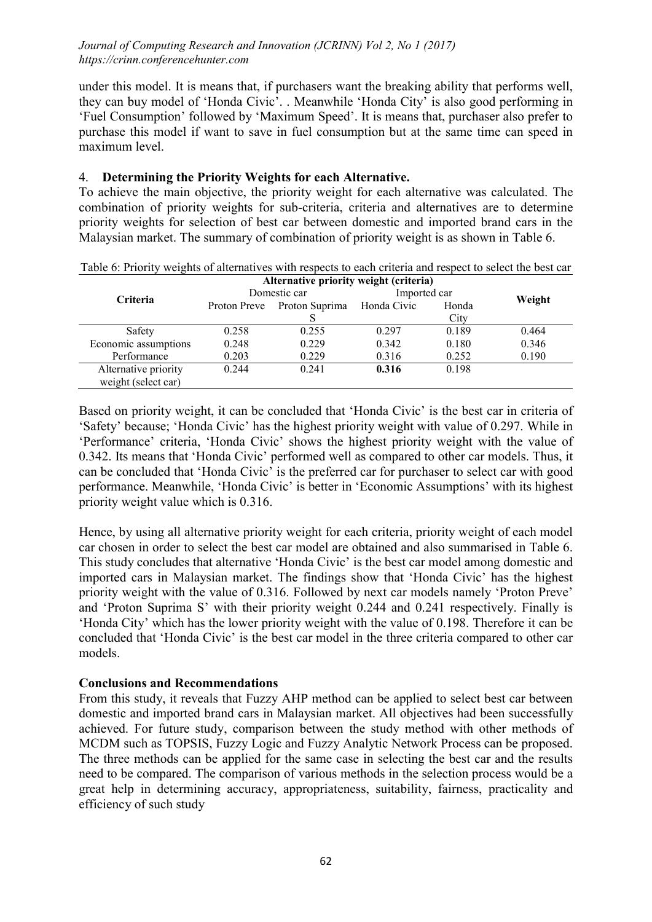under this model. It is means that, if purchasers want the breaking ability that performs well, they can buy model of 'Honda Civic'. . Meanwhile 'Honda City' is also good performing in 'Fuel Consumption' followed by 'Maximum Speed'. It is means that, purchaser also prefer to purchase this model if want to save in fuel consumption but at the same time can speed in maximum level.

## 4. Determining the Priority Weights for each Alternative.

To achieve the main objective, the priority weight for each alternative was calculated. The combination of priority weights for sub-criteria, criteria and alternatives are to determine priority weights for selection of best car between domestic and imported brand cars in the Malaysian market. The summary of combination of priority weight is as shown in Table 6.

|                      | Alternative priority weight (criteria) |                             |              |       |        |
|----------------------|----------------------------------------|-----------------------------|--------------|-------|--------|
| <b>Criteria</b>      | Domestic car                           |                             | Imported car |       |        |
|                      |                                        | Proton Preve Proton Suprima | Honda Civic  | Honda | Weight |
|                      |                                        |                             |              | City  |        |
| Safety               | 0.258                                  | 0.255                       | 0.297        | 0.189 | 0.464  |
| Economic assumptions | 0.248                                  | 0.229                       | 0.342        | 0.180 | 0.346  |
| Performance          | 0.203                                  | 0.229                       | 0.316        | 0.252 | 0.190  |
| Alternative priority | 0.244                                  | 0.241                       | 0.316        | 0.198 |        |
| weight (select car)  |                                        |                             |              |       |        |

Table 6: Priority weights of alternatives with respects to each criteria and respect to select the best car

Based on priority weight, it can be concluded that 'Honda Civic' is the best car in criteria of 'Safety' because; 'Honda Civic' has the highest priority weight with value of 0.297. While in 'Performance' criteria, 'Honda Civic' shows the highest priority weight with the value of 0.342. Its means that 'Honda Civic' performed well as compared to other car models. Thus, it can be concluded that 'Honda Civic' is the preferred car for purchaser to select car with good performance. Meanwhile, 'Honda Civic' is better in 'Economic Assumptions' with its highest priority weight value which is 0.316.

Hence, by using all alternative priority weight for each criteria, priority weight of each model car chosen in order to select the best car model are obtained and also summarised in Table 6. This study concludes that alternative 'Honda Civic' is the best car model among domestic and imported cars in Malaysian market. The findings show that 'Honda Civic' has the highest priority weight with the value of 0.316. Followed by next car models namely 'Proton Preve' and 'Proton Suprima S' with their priority weight 0.244 and 0.241 respectively. Finally is 'Honda City' which has the lower priority weight with the value of 0.198. Therefore it can be concluded that 'Honda Civic' is the best car model in the three criteria compared to other car models.

## Conclusions and Recommendations

From this study, it reveals that Fuzzy AHP method can be applied to select best car between domestic and imported brand cars in Malaysian market. All objectives had been successfully achieved. For future study, comparison between the study method with other methods of MCDM such as TOPSIS, Fuzzy Logic and Fuzzy Analytic Network Process can be proposed. The three methods can be applied for the same case in selecting the best car and the results need to be compared. The comparison of various methods in the selection process would be a great help in determining accuracy, appropriateness, suitability, fairness, practicality and efficiency of such study